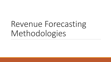# Revenue Forecasting Methodologies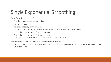# Single Exponential Smoothing

- $F_t = F_{t-1} + \alpha(y_{t-1} F_{t-1})$ 
	- $\circ$   $F_t$  is the forecast revenue for period t
	- t is the time period
	- $\alpha$  is the smoothing constant, 0<α≤1
		- We set this coefficient by using solver to find the value that results in the lowest Mean Squared Error
	- $y_{t-1}$  is the previous period's actual revenue
	- $\circ$   $F_{t-1}$  is the previous period's forecast revenue
		- We set the value for the first forecast as equal to the previous month's actual

### This method is generally best for short-term forecasts

◦ Because after actual values are no longer available, the last available forecast is used as the value for all future forecasts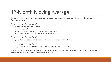# 12-Month Moving Average

To make a 12-month moving average forecast, we take the average of the last 12 actual or forecast values

 $F_t = Average(y_{t-12}: y_{t-1})$ 

- $\circ$   $F_t$  is the forecast revenue for period t
- t is the time period
- $y_{t-12}$  is the actual revenue for the time period 12 periods before t
- $y_{t-1}$  is the actual revenue for the time period immediately before t

 $F_t = Average(y_{t-12}: F_{t-1})$ 

 $\circ$   $F_{t-1}$  is the forecast revenue for the time period immediately before t

 $F_t = Average(F_{t-12}: F_{t-1})$ 

 $\circ$   $F_{t-12}$  is the forecast revenue for the time period 12 periods before t

This method is best for relatively short-term forecasts, as the forecast values flatten after we reach 24 months beyond the last actual value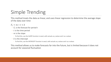# Simple Trending

This method treats the data as linear, and uses linear regression to determine the average slope of the data over time

 $F_t = m * t + b$ 

- $\circ$   $F_t$  is the forecast for period t
- $\circ$  t is the time period
- $\circ$  *m* is the slope
	- To find this, use the SLOPE function in excel, with actuals as y-values and t as x-values
- $\circ$  *b* is the intercept
	- To find this, use the INTERCEPT function in excel, with actuals as y-values and t as x-values

This method allows us to make forecasts far into the future, but is limited because it does not account for seasonal fluctuation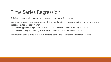### Time Series Regression

This is the most sophisticated methodology used in our forecasting

We use a centered moving average to divide the data into a de-seasonalized component and a seasonal factor for each month

- Then we apply linear regression to the de-seasonalized component to identify the trend
- Then we re-apply the monthly seasonal component to the de-seasonalized trend

This method allows us to forecast more long-term, and takes seasonality into account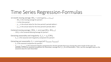### Time Series Regression-Formulas

12-month moving average:  $MA_t = average(y_{t-5}; y_{t+6})$ 

- $\bullet$   $MA_t$  is the moving average for period t
- $t$  is the time period
- $y_{t-5}$  is the actual value for the time period 5 periods before t
- $y_{t+6}$  is the actual value for the time period 6 periods after t

Centered moving average:  $CMA_t = average(MA_t: MA_{t+1})$ 

 $\circ$  *CMA<sub>t</sub>* is the Centered Moving Average for period t

Extracting seasonality and irregularity:  $S_t$ ,  $I_t = y_t / CMA_t$ 

 $\circ$   $S_t$ ,  $I_t$  is the seasonal and irregularity component for period t

Extracting just seasonality:  $S_t = average(all S_{tmonth}, I_{tmonth})$ 

- $S_t$  is the seasonal component for period t
- $S_{tmonth}$ ,  $I_{tmapth}$  is the seasonal irregular component for all time periods that occur during the same month of the year. For example, to find the seasonal component for December, average the  $S_t$ ,  $I_t$  for all Decembers. Then, use this averaged value as the seasonal value for each December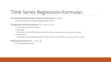### Time Series Regression-Formulas

### De-seasonalizing the data: *Deseasonalized*  $Y_t = Y_t/S_t$

 $\circ$  Deseasonalized  $Y_t$  is the deseasonalized value for period t

### Finding the trend component:  $T_t = m * t + b$

- $T_t$  is the trend component for period t
- $\circ$  *m* is the slope
	- $\circ$  To find this, use the SLOPE function in excel, with *DeseasonalizedY<sub>t</sub>* as y-values, and t as x-values
- *is the intercept* 
	- $\circ$  To find this, use the INTERCEPT function in excel, with *DeseasonalizedY<sub>t</sub>* as y-values, and t as x-values

### Making the forecast:  $F_t = T_t * S_t$

◦  $F_t$  is the forecast for period t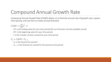## Compound Annual Growth Rate

Compound Annual Growth Rate (CAGR) allows us to find the annual rate of growth over a given time period, and use this to create annual forecasts

 $CAGR = \left(\frac{EV}{BV}\right)$  $\mathbf{1}$  $\overline{t}-1$ 

- $\circ$  EV is the ending value for your time period (for our forecasts, the last available actual)
- $\circ$  BV is the beginning value for your time period
- $\circ$  t is the number of years covered by your time period

 $F_t = CAGR * F_{t-1}$ 

- $\circ$   $F_t$  is the forecast for period t
- $\circ$   $F_{t-1}$  is the forecast (or actual) for the previous time period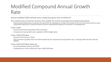### Modified Compound Annual Growth Rate

Several modified CAGR methods were created during the time of COVID-19

This method aims to forecast recovery from COVID-19, and the associated social distancing policies

◦ Phased social distancing is necessary during COVID-19 outbreaks to contain the spread of the virus, but these policies mean substantial reductions in several revenue sources and potential long-term increases in unemployment

#### 3-Year CAGR

- Assumes permanent downward shift in demand
- Compound annual growth rate is applied to 2021 budget value

#### 3-Year CAGR 2019 Base

- Assumes full recovery in 2022
- 2022 estimate is greater than the 2019 estimate by the compound annual growth rate, as though 2020 and 2021 did not happen
- 3-Year CAGR 2019 Base Ramp Up
	- Assumes gradual recovery until 2025
- Combination of 3-Year CAGR and 3-Year CAGR 2019 Base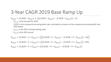### 3-Year CAGR 2019 Base Ramp Up

 $F_{2022} = (CAGR * F_{2021}) + ((CAGR * Y_{2019}) - (CAGR * F_{2021})) * .5)$ 

- $\cdot$   $F_{2022}$  is the forecast for 2022
- $\circ$  *CAGR* is the compound annual growth rate, calculated as shown on the compound annual growth rate slide above
- $\frac{1}{2}$   $F_{2021}$  is the 2021 estimate being used
- $\frac{6}{2019}$  is the 2019 actual

$$
F_{2023} = (CAGR * 2 * F_{2021}) + (((CAGR * 2 * Y_{2019}) - (CAGR * 2 * F_{2021})) * .66)
$$
  
\n
$$
F_{2024} = (CAGR * 3 * F_{2021}) + (((CAGR * 3 * Y_{2019}) - (CAGR * 3 * F_{2021})) * .85)
$$
  
\n
$$
F_{2025} = (CAGR * 4 * F_{2021}) + ((CAGR * 4 * Y_{2019}) - (CAGR * 4 * F_{2021}))
$$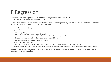### R Regression

More complex linear regressions are completed using the statistical software R

◦ This provides more processing power than Excel

This method is similar to the "simple trending" method described previously, but it takes into account seasonality and economic variation, in addition to the trend over time

#### $F_t = a + b * t + c * e + m_i$

- $\circ$   $F_t$  is the forecast for period t
- $\alpha$  is the intercept
- $b$  is the coefficient for time, and  $t$  is the time period
- $\circ$  c is the coefficient for the economic indicator, and e is the value of the economic indicator
	- This economic indicator will be the unemployment rate, GDP, etc
	- Up to three economic indicators could be included
- $m_i$  is the coefficient for month
	- $\bullet$  There are 12  $m_i$  values, one for each month. Select the one corresponding to the appropriate month.
- The best values for a, b, c,  $m_i$  calculated by an automated computer program since the math is too complex to conduct in excel

Model fit can be evaluated using an R-squared value, which represents the percentage of variation in revenue that can be explained by the equation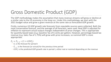## Gross Domestic Product (GDP)

The GDP methodology makes the assumption that many revenue streams will grow or decline at a similar rate to the US economy in the long run. Under this methodology, we start with the 2021 budget value and grow a given revenue at the same rate as forecasted GDP growth.

Firstly, numerous US GDP growth rate forecasts from reputable sources were collected. Both the most conservative forecast, and the average of all forecasts, were used. Real GDP is adjusted for inflation to represent actual output changes independent of price changes. This is appropriate for quantity-based taxes (e.g. Gasoline Tax of 6 cents per gallon). However, percentage-based tax revenue (e.g. Sales Tax of 1.75%) will grow with price increases, so nominal GDP is more appropriate.

 $F_t = F_{t-1} * (1 + GDP_t)$ 

- $\circ$   $F_t$  is the forecast for period t
- $\circ$   $F_{t-1}$  is the forecast (or actual) for the previous time period
- $\circ$  GDP<sub>t</sub> is the predicted GDP growth rate in period t, either real or nominal depending on the revenue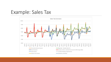### Example: Sales Tax

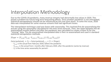### Interpolation Methodology

Due to the COVID-19 pandemic, many revenue streams had abnormally low values in 2020. This posed a problem for future long term forecasting efforts. Since another pandemic is not anticipated, statistical extrapolations should not be influenced by this one time shock. To solve this issue, 2020 data was interpolated for some revenue streams that had significant losses.

The interpolation technique used was linear with seasonality. This involved first de-seasonalizing the actuals using the seasonality calculated for the time series forecast. Then, the slope between the de-<br>seasonalized mon "missing" data. This de-seasonalized interpolated data is then re-seasonalized and used in standard statistical extrapolation methods.

 $Slope = (Y_{2,20}/S_{2,20} - Y_{2,20+i}/S_{2,20+i})/(Y_{2,20}/S_{2,20})/i$ 

 $Interpolated_t = S_t * Interpolated_{t-1} * (1 + Slope)$ 

- $\frac{6}{2}$   $Y_{2,20}$  is the actual from February 2020, before the pandemic
- $\sim Y_{2.20+i}$  is the actual from *i* months after February 2020, after the pandemic (varies by revenue)
- $\circ$   $S_t$  is the time series seasonality for period t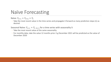### Naïve Forecasting

Naïve:  $Y_{t+1} = Y_{t+n} = Y_t$ 

◦ Take the most recent value in the time series and propagate it forward as many prediction steps (n) as desired

Seasonal Naïve:  $Y_{t+1} = Y_{t-h+1}$  for a time series with seasonality h

- Take the most recent value of the same seasonality
- For monthly data, take the value 12 months prior. E.g December 2021 will be predicted as the value of December 2020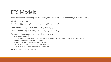### ETS Models

Apply exponential smoothing on Error, Trend, and Seasonal (ETS) components (with cycle length L)

Initialization:  $s_0 = x_0$ 

Data Smoothing: 
$$
s_t = \alpha(x_t - c_{t-L}) + (1 - \alpha)(s_{t-1} + b_{t-1})
$$

Trend Smoothing:  $b_t = \beta (s_t - s_{t-1}) + (1 - \beta) b_{t-1}$ 

Seasonal Smoothing:  $c_t = \gamma(x_t - s_{t-1} - b_{t-1}) + (1 - \gamma)c_{t-L}$ 

Forecast (m steps):  $F_{t+m} = s_t + mb_t + c_{t-L+1+(m-1)}$ 

- For an additive model
- If you wanted a multiplicative model, use the same smoothing just multiply in  $F_{t+m}$  instead of adding
- Additive: Seasonality has absolute change
- Multiplicative: Seasonality has factor (%) change
	- **■** E.g: December is \$10,000 higher than November  $\rightarrow$  Additive
	- **•** E.g: December is 10% higher than November  $\rightarrow$  Multiplicative

Parameters fit by minimizing AIC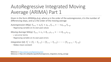### AutoRegressive Integrated N Average (ARIMA) Part 1

Given in the form  $ARIMA(p,d,q)$ , where p is the order of the autor differencing steps, and q is the order of the moving average

*Autoregression* AR(p):  $Y_{t+1} = \alpha_t Y_t + \alpha_{t-1} Y_{t-1} + \cdots + \alpha_{t-p} Y_{t-p}$ 

◦ Regressing variable on its own past values

*Moving Average* MA(q):  $Y_{t+1} = \epsilon_t + \theta_{t-1} \epsilon_{t-1} + \cdots + \theta_{t-a} \epsilon_{t-a}$ 

- $\circ$   $\epsilon$  are error terms
- Regressing variable on its own past errors

*Integration*  $I(d)$ :  $Y'_t = (Y_t - Y_{t-1}) - (Y_{t-1} - Y_{t-2}) - \cdots - (Y_{t-d-1})$ 

◦ Makes mean constant

Reference 1: https://otexts.com/fpp3/arima.html Reference 2: https://en.wikipedia.org/wiki/Autoregressive integrated moving average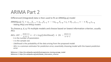### ARIMA Part 2

Differenced (Integrated) data is then used to fit an ARMA(p,q) model

ARMA(p,q):  $Y_t = \alpha_{t-1} Y_{t-1} + \alpha_{t-2} Y_{t-2} + \cdots + \alpha_{t-p} Y_{t-p} + \epsilon_t + \theta_{t-1} \epsilon_{t-1} + \cdots + \theta_{t-q} \epsilon_{t-q}$ ◦ Adding AR(p) and MA(q) models

To choose p, d, q: Fit multiple models and choose based on lowest information criterion, usually AICc

AICc: 
$$
AIC - \frac{2k(k+1)}{n-k-1} = -2 * Log(Likelihood) + 2k - \frac{2k(k+1)}{n-k-1}
$$

- $\degree$  k is the number of parameters
- n is the sample size
- Likelihood is the probability of the data arising from the proposed model
- AICc is a common estimator for prediction error, essentially choosing model with the lowest prediction error

Reference 1: https://en.wikipedia.org/wiki/Autoregressive–moving-average\_model Reference 2: https://en.wikipedia.org/wiki/Akaike\_information\_criterion